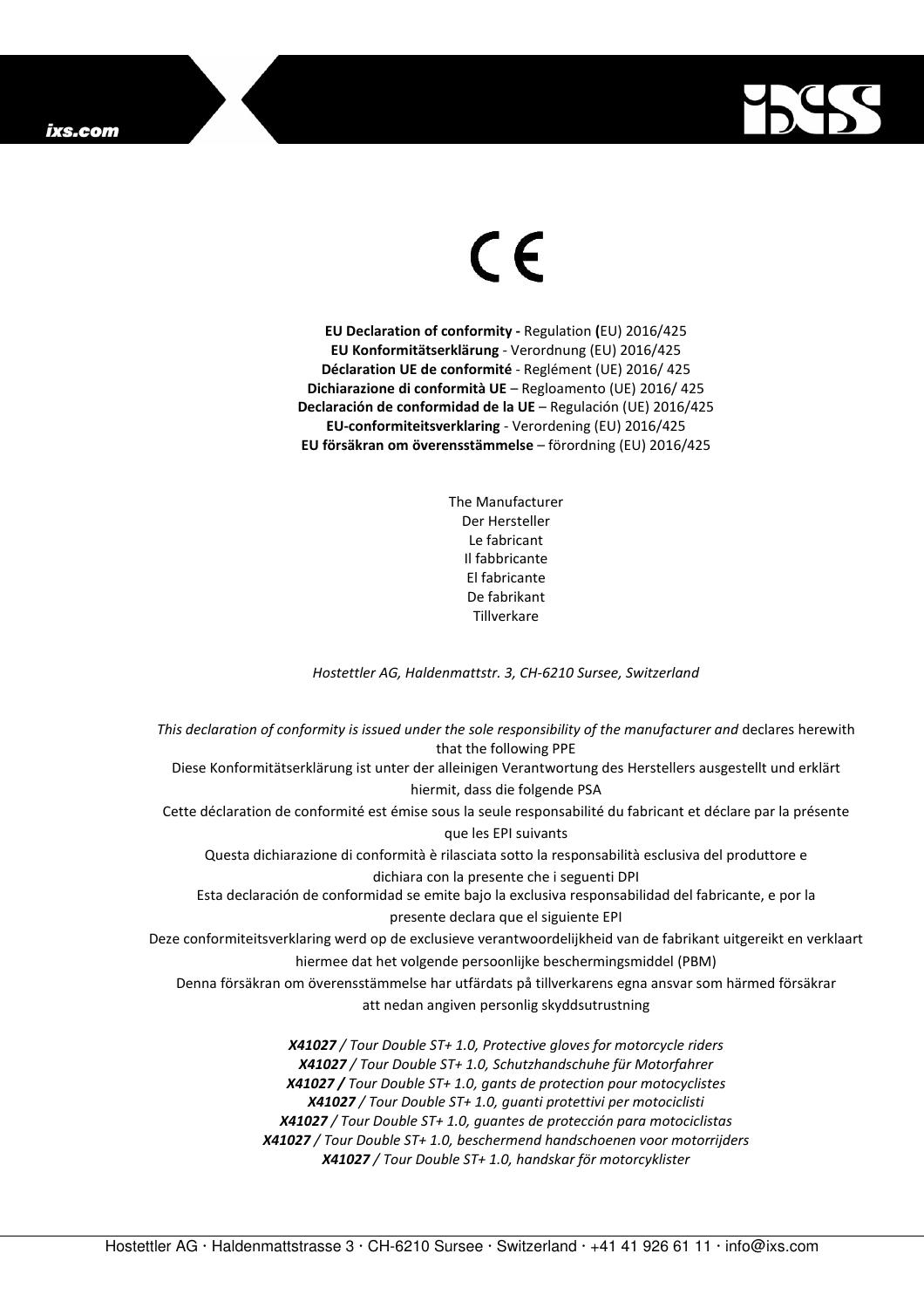## ixs.com



## $\in$

**EU Declaration of conformity -** Regulation **(**EU) 2016/425 **EU Konformitätserklärung** - Verordnung (EU) 2016/425 **Déclaration UE de conformité** - Reglément (UE) 2016/ 425 **Dichiarazione di conformità UE** – Regloamento (UE) 2016/ 425 **Declaración de conformidad de la UE** – Regulación (UE) 2016/425 **EU-conformiteitsverklaring** - Verordening (EU) 2016/425 **EU försäkran om överensstämmelse** – förordning (EU) 2016/425

> The Manufacturer Der Hersteller Le fabricant Il fabbricante El fabricante De fabrikant **Tillverkare**

*Hostettler AG, Haldenmattstr. 3, CH-6210 Sursee, Switzerland* 

*This declaration of conformity is issued under the sole responsibility of the manufacturer and* declares herewith that the following PPE Diese Konformitätserklärung ist unter der alleinigen Verantwortung des Herstellers ausgestellt und erklärt hiermit, dass die folgende PSA Cette déclaration de conformité est émise sous la seule responsabilité du fabricant et déclare par la présente que les EPI suivants Questa dichiarazione di conformità è rilasciata sotto la responsabilità esclusiva del produttore e dichiara con la presente che i seguenti DPI Esta declaración de conformidad se emite bajo la exclusiva responsabilidad del fabricante, e por la presente declara que el siguiente EPI Deze conformiteitsverklaring werd op de exclusieve verantwoordelijkheid van de fabrikant uitgereikt en verklaart hiermee dat het volgende persoonlijke beschermingsmiddel (PBM) Denna försäkran om överensstämmelse har utfärdats på tillverkarens egna ansvar som härmed försäkrar att nedan angiven personlig skyddsutrustning *X41027 / Tour Double ST+ 1.0, Protective gloves for motorcycle riders X41027 / Tour Double ST+ 1.0, Schutzhandschuhe für Motorfahrer X41027 / Tour Double ST+ 1.0, gants de protection pour motocyclistes X41027 / Tour Double ST+ 1.0, guanti protettivi per motociclisti X41027 / Tour Double ST+ 1.0, guantes de protección para motociclistas* 

*X41027 / Tour Double ST+ 1.0, beschermend handschoenen voor motorrijders* 

*X41027 / Tour Double ST+ 1.0, handskar för motorcyklister*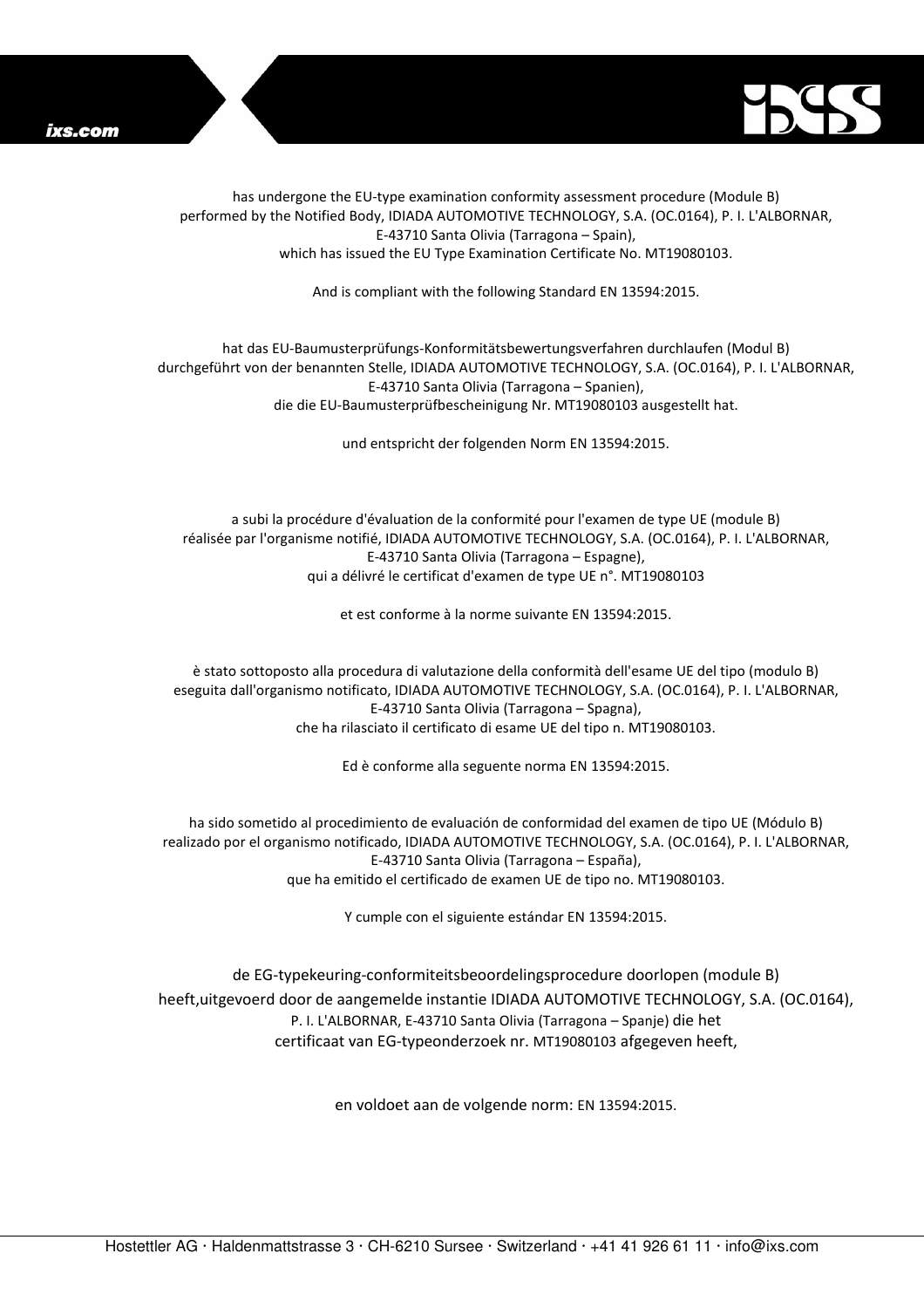



has undergone the EU-type examination conformity assessment procedure (Module B) performed by the Notified Body, IDIADA AUTOMOTIVE TECHNOLOGY, S.A. (OC.0164), P. I. L'ALBORNAR, E-43710 Santa Olivia (Tarragona – Spain), which has issued the EU Type Examination Certificate No. MT19080103.

And is compliant with the following Standard EN 13594:2015.

## hat das EU-Baumusterprüfungs-Konformitätsbewertungsverfahren durchlaufen (Modul B) durchgeführt von der benannten Stelle, IDIADA AUTOMOTIVE TECHNOLOGY, S.A. (OC.0164), P. I. L'ALBORNAR, E-43710 Santa Olivia (Tarragona – Spanien), die die EU-Baumusterprüfbescheinigung Nr. MT19080103 ausgestellt hat.

und entspricht der folgenden Norm EN 13594:2015.

a subi la procédure d'évaluation de la conformité pour l'examen de type UE (module B) réalisée par l'organisme notifié, IDIADA AUTOMOTIVE TECHNOLOGY, S.A. (OC.0164), P. I. L'ALBORNAR, E-43710 Santa Olivia (Tarragona – Espagne), qui a délivré le certificat d'examen de type UE n°. MT19080103

et est conforme à la norme suivante EN 13594:2015.

è stato sottoposto alla procedura di valutazione della conformità dell'esame UE del tipo (modulo B) eseguita dall'organismo notificato, IDIADA AUTOMOTIVE TECHNOLOGY, S.A. (OC.0164), P. I. L'ALBORNAR, E-43710 Santa Olivia (Tarragona – Spagna), che ha rilasciato il certificato di esame UE del tipo n. MT19080103.

Ed è conforme alla seguente norma EN 13594:2015.

ha sido sometido al procedimiento de evaluación de conformidad del examen de tipo UE (Módulo B) realizado por el organismo notificado, IDIADA AUTOMOTIVE TECHNOLOGY, S.A. (OC.0164), P. I. L'ALBORNAR, E-43710 Santa Olivia (Tarragona – España), que ha emitido el certificado de examen UE de tipo no. MT19080103.

Y cumple con el siguiente estándar EN 13594:2015.

de EG-typekeuring-conformiteitsbeoordelingsprocedure doorlopen (module B) heeft,uitgevoerd door de aangemelde instantie IDIADA AUTOMOTIVE TECHNOLOGY, S.A. (OC.0164), P. I. L'ALBORNAR, E-43710 Santa Olivia (Tarragona – Spanje) die het certificaat van EG-typeonderzoek nr. MT19080103 afgegeven heeft,

en voldoet aan de volgende norm: EN 13594:2015.